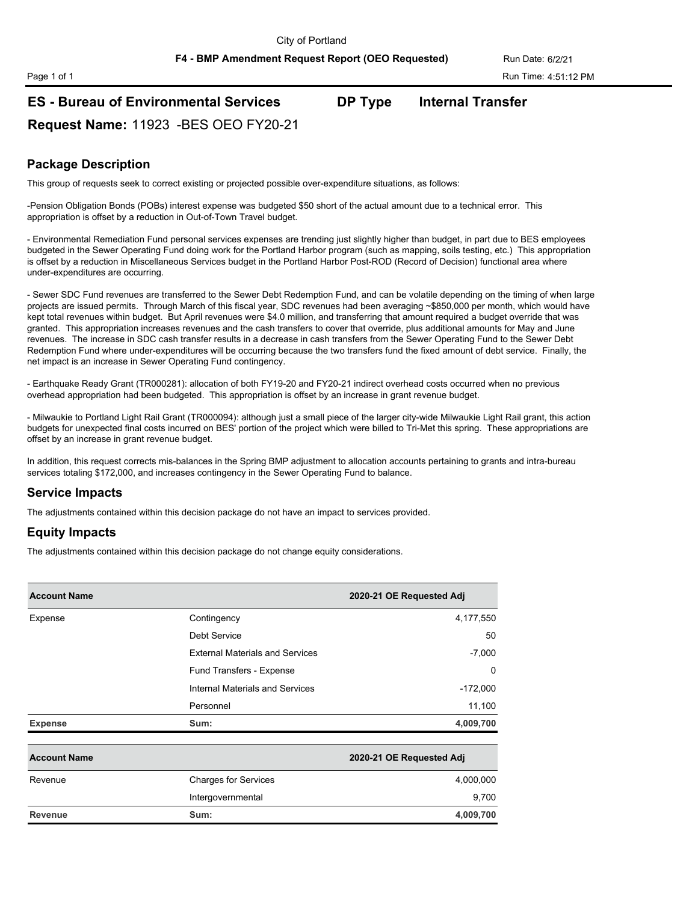**F4 - BMP Amendment Request Report (OEO Requested)** Run Date: 6/2/21

# **ES - Bureau of Environmental Services DP Type Internal Transfer**

**Request Name:** 11923 -BES OEO FY20-21

## **Package Description**

This group of requests seek to correct existing or projected possible over-expenditure situations, as follows:

-Pension Obligation Bonds (POBs) interest expense was budgeted \$50 short of the actual amount due to a technical error. This appropriation is offset by a reduction in Out-of-Town Travel budget.

- Environmental Remediation Fund personal services expenses are trending just slightly higher than budget, in part due to BES employees budgeted in the Sewer Operating Fund doing work for the Portland Harbor program (such as mapping, soils testing, etc.) This appropriation is offset by a reduction in Miscellaneous Services budget in the Portland Harbor Post-ROD (Record of Decision) functional area where under-expenditures are occurring.

- Sewer SDC Fund revenues are transferred to the Sewer Debt Redemption Fund, and can be volatile depending on the timing of when large projects are issued permits. Through March of this fiscal year, SDC revenues had been averaging ~\$850,000 per month, which would have kept total revenues within budget. But April revenues were \$4.0 million, and transferring that amount required a budget override that was granted. This appropriation increases revenues and the cash transfers to cover that override, plus additional amounts for May and June revenues. The increase in SDC cash transfer results in a decrease in cash transfers from the Sewer Operating Fund to the Sewer Debt Redemption Fund where under-expenditures will be occurring because the two transfers fund the fixed amount of debt service. Finally, the net impact is an increase in Sewer Operating Fund contingency.

- Earthquake Ready Grant (TR000281): allocation of both FY19-20 and FY20-21 indirect overhead costs occurred when no previous overhead appropriation had been budgeted. This appropriation is offset by an increase in grant revenue budget.

- Milwaukie to Portland Light Rail Grant (TR000094): although just a small piece of the larger city-wide Milwaukie Light Rail grant, this action budgets for unexpected final costs incurred on BES' portion of the project which were billed to Tri-Met this spring. These appropriations are offset by an increase in grant revenue budget.

In addition, this request corrects mis-balances in the Spring BMP adjustment to allocation accounts pertaining to grants and intra-bureau services totaling \$172,000, and increases contingency in the Sewer Operating Fund to balance.

### **Service Impacts**

The adjustments contained within this decision package do not have an impact to services provided.

### **Equity Impacts**

The adjustments contained within this decision package do not change equity considerations.

| <b>Account Name</b> |                                        | 2020-21 OE Requested Adj |
|---------------------|----------------------------------------|--------------------------|
| Expense             | Contingency                            | 4,177,550                |
|                     | Debt Service                           | 50                       |
|                     | <b>External Materials and Services</b> | $-7,000$                 |
|                     | Fund Transfers - Expense               | $\Omega$                 |
|                     | Internal Materials and Services        | $-172,000$               |
|                     | Personnel                              | 11,100                   |
| <b>Expense</b>      | Sum:                                   | 4,009,700                |
| <b>Account Name</b> |                                        | 2020-21 OE Requested Adj |
| Revenue             | <b>Charges for Services</b>            | 4,000,000                |
|                     | Intergovernmental                      | 9,700                    |
| <b>Revenue</b>      | Sum:                                   | 4,009,700                |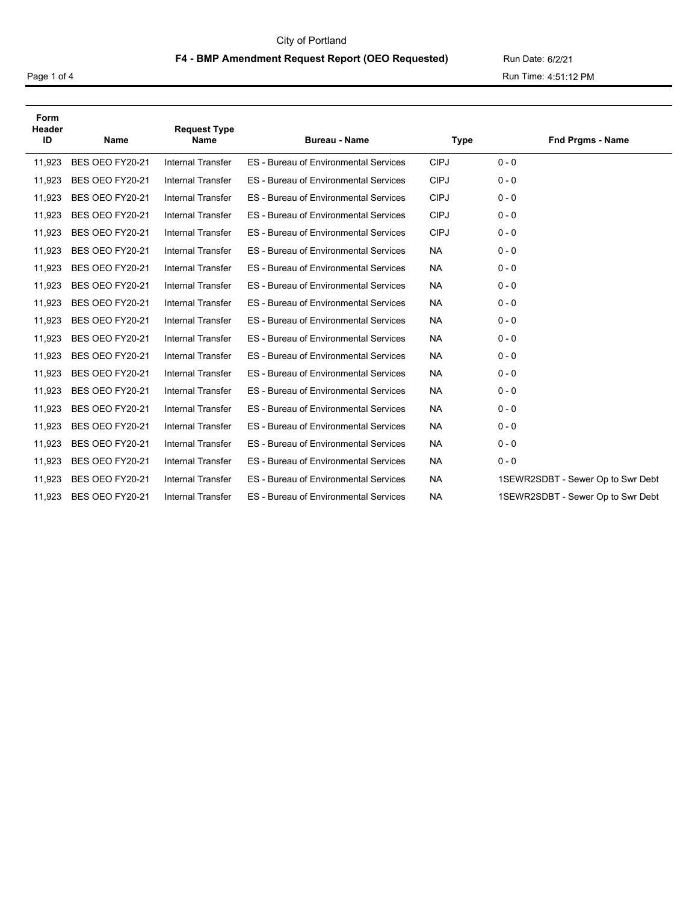#### City of Portland

#### F4 - BMP Amendment Request Report (OEO Requested) Run Date: 6/2/21

Page 1 of 4 Run Time: 4:51:12 PM

| Form<br>Header<br>ID | <b>Request Type</b><br>Name<br><b>Name</b> |                          | <b>Bureau - Name</b>                         | <b>Type</b> | <b>Fnd Prgms - Name</b>           |
|----------------------|--------------------------------------------|--------------------------|----------------------------------------------|-------------|-----------------------------------|
| 11,923               | BES OEO FY20-21                            | <b>Internal Transfer</b> | <b>ES</b> - Bureau of Environmental Services | <b>CIPJ</b> | $0 - 0$                           |
| 11,923               | BES OEO FY20-21                            | <b>Internal Transfer</b> | <b>ES</b> - Bureau of Environmental Services | <b>CIPJ</b> | $0 - 0$                           |
| 11,923               | BES OEO FY20-21                            | <b>Internal Transfer</b> | <b>ES</b> - Bureau of Environmental Services | <b>CIPJ</b> | $0 - 0$                           |
| 11,923               | BES OEO FY20-21                            | <b>Internal Transfer</b> | <b>ES</b> - Bureau of Environmental Services | <b>CIPJ</b> | $0 - 0$                           |
| 11,923               | BES OEO FY20-21                            | <b>Internal Transfer</b> | <b>ES</b> - Bureau of Environmental Services | <b>CIPJ</b> | $0 - 0$                           |
| 11,923               | BES OEO FY20-21                            | <b>Internal Transfer</b> | ES - Bureau of Environmental Services        | <b>NA</b>   | $0 - 0$                           |
| 11,923               | BES OEO FY20-21                            | <b>Internal Transfer</b> | <b>ES</b> - Bureau of Environmental Services | <b>NA</b>   | $0 - 0$                           |
| 11,923               | BES OEO FY20-21                            | <b>Internal Transfer</b> | <b>ES</b> - Bureau of Environmental Services | <b>NA</b>   | $0 - 0$                           |
| 11,923               | BES OEO FY20-21                            | <b>Internal Transfer</b> | <b>ES</b> - Bureau of Environmental Services | <b>NA</b>   | $0 - 0$                           |
| 11,923               | BES OEO FY20-21                            | <b>Internal Transfer</b> | <b>ES</b> - Bureau of Environmental Services | <b>NA</b>   | $0 - 0$                           |
| 11,923               | BES OEO FY20-21                            | <b>Internal Transfer</b> | <b>ES</b> - Bureau of Environmental Services | <b>NA</b>   | $0 - 0$                           |
| 11,923               | BES OEO FY20-21                            | <b>Internal Transfer</b> | <b>ES</b> - Bureau of Environmental Services | <b>NA</b>   | $0 - 0$                           |
| 11,923               | BES OEO FY20-21                            | <b>Internal Transfer</b> | ES - Bureau of Environmental Services        | <b>NA</b>   | $0 - 0$                           |
| 11,923               | BES OEO FY20-21                            | <b>Internal Transfer</b> | <b>ES</b> - Bureau of Environmental Services | <b>NA</b>   | $0 - 0$                           |
| 11,923               | BES OEO FY20-21                            | <b>Internal Transfer</b> | <b>ES</b> - Bureau of Environmental Services | <b>NA</b>   | $0 - 0$                           |
| 11,923               | BES OEO FY20-21                            | <b>Internal Transfer</b> | <b>ES</b> - Bureau of Environmental Services | <b>NA</b>   | $0 - 0$                           |
| 11,923               | BES OEO FY20-21                            | <b>Internal Transfer</b> | <b>ES</b> - Bureau of Environmental Services | <b>NA</b>   | $0 - 0$                           |
| 11,923               | BES OEO FY20-21                            | <b>Internal Transfer</b> | ES - Bureau of Environmental Services        | <b>NA</b>   | $0 - 0$                           |
| 11,923               | BES OEO FY20-21                            | <b>Internal Transfer</b> | <b>ES</b> - Bureau of Environmental Services | <b>NA</b>   | 1SEWR2SDBT - Sewer Op to Swr Debt |
| 11,923               | BES OEO FY20-21                            | <b>Internal Transfer</b> | <b>ES</b> - Bureau of Environmental Services | <b>NA</b>   | 1SEWR2SDBT - Sewer Op to Swr Debt |
|                      |                                            |                          |                                              |             |                                   |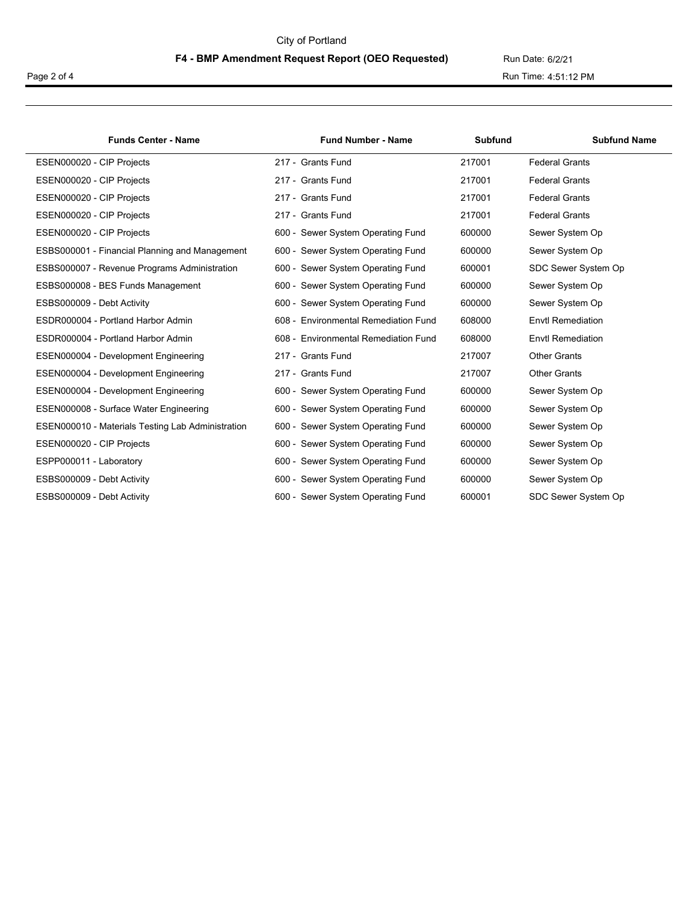#### City of Portland

# F4 - BMP Amendment Request Report (OEO Requested) Run Date: 6/2/21

Page 2 of 4 Run Time: 4:51:12 PM

| <b>Funds Center - Name</b>                        | <b>Fund Number - Name</b>                        | <b>Subfund</b> | <b>Subfund Name</b>      |
|---------------------------------------------------|--------------------------------------------------|----------------|--------------------------|
| ESEN000020 - CIP Projects                         | 217 - Grants Fund                                | 217001         | <b>Federal Grants</b>    |
| ESEN000020 - CIP Projects                         | 217 - Grants Fund                                | 217001         | <b>Federal Grants</b>    |
| ESEN000020 - CIP Projects                         | 217 - Grants Fund                                | 217001         | <b>Federal Grants</b>    |
| ESEN000020 - CIP Projects                         | 217 - Grants Fund                                | 217001         | <b>Federal Grants</b>    |
| ESEN000020 - CIP Projects                         | Sewer System Operating Fund<br>$600 -$           | 600000         | Sewer System Op          |
| ESBS000001 - Financial Planning and Management    | Sewer System Operating Fund<br>$600 -$           | 600000         | Sewer System Op          |
| ESBS000007 - Revenue Programs Administration      | Sewer System Operating Fund<br>$600 -$           | 600001         | SDC Sewer System Op      |
| ESBS000008 - BES Funds Management                 | Sewer System Operating Fund<br>$600 -$           | 600000         | Sewer System Op          |
| ESBS000009 - Debt Activity                        | Sewer System Operating Fund<br>$600 -$           | 600000         | Sewer System Op          |
| ESDR000004 - Portland Harbor Admin                | <b>Environmental Remediation Fund</b><br>608     | 608000         | <b>Envtl Remediation</b> |
| ESDR000004 - Portland Harbor Admin                | <b>Environmental Remediation Fund</b><br>$608 -$ | 608000         | Envtl Remediation        |
| ESEN000004 - Development Engineering              | 217 - Grants Fund                                | 217007         | <b>Other Grants</b>      |
| ESEN000004 - Development Engineering              | 217 - Grants Fund                                | 217007         | <b>Other Grants</b>      |
| ESEN000004 - Development Engineering              | Sewer System Operating Fund<br>$600 -$           | 600000         | Sewer System Op          |
| ESEN000008 - Surface Water Engineering            | Sewer System Operating Fund<br>$600 -$           | 600000         | Sewer System Op          |
| ESEN000010 - Materials Testing Lab Administration | Sewer System Operating Fund<br>600 -             | 600000         | Sewer System Op          |
| ESEN000020 - CIP Projects                         | Sewer System Operating Fund<br>$600 -$           | 600000         | Sewer System Op          |
| ESPP000011 - Laboratory                           | Sewer System Operating Fund<br>$600 -$           | 600000         | Sewer System Op          |
| ESBS000009 - Debt Activity                        | Sewer System Operating Fund<br>$600 -$           | 600000         | Sewer System Op          |
| ESBS000009 - Debt Activity                        | 600 - Sewer System Operating Fund                | 600001         | SDC Sewer System Op      |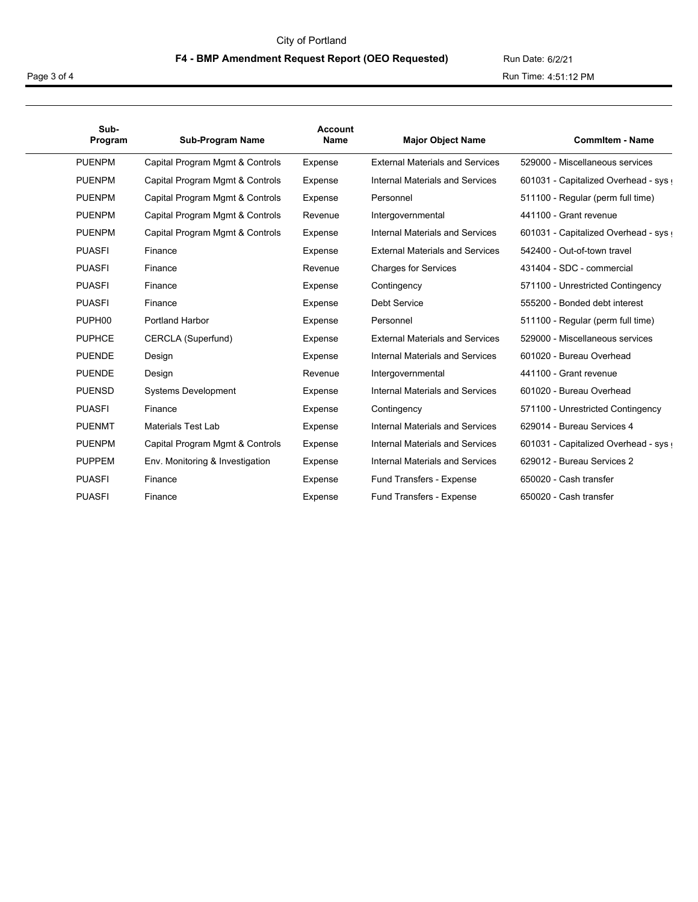#### City of Portland

#### F4 - BMP Amendment Request Report (OEO Requested) Run Date: 6/2/21

Page 3 of 4 Run Time: 4:51:12 PM

| Sub-<br>Program    | <b>Sub-Program Name</b>         | <b>Account</b><br>Name | <b>Major Object Name</b>               | <b>Commitem - Name</b>              |
|--------------------|---------------------------------|------------------------|----------------------------------------|-------------------------------------|
| <b>PUENPM</b>      | Capital Program Mgmt & Controls | Expense                | <b>External Materials and Services</b> | 529000 - Miscellaneous services     |
| <b>PUENPM</b>      | Capital Program Mgmt & Controls | Expense                | Internal Materials and Services        | 601031 - Capitalized Overhead - sys |
| <b>PUENPM</b>      | Capital Program Mgmt & Controls | Expense                | Personnel                              | 511100 - Regular (perm full time)   |
| <b>PUENPM</b>      | Capital Program Mgmt & Controls | Revenue                | Intergovernmental                      | 441100 - Grant revenue              |
| <b>PUENPM</b>      | Capital Program Mgmt & Controls | Expense                | Internal Materials and Services        | 601031 - Capitalized Overhead - sys |
| <b>PUASFI</b>      | Finance                         | Expense                | <b>External Materials and Services</b> | 542400 - Out-of-town travel         |
| <b>PUASFI</b>      | Finance                         | Revenue                | <b>Charges for Services</b>            | 431404 - SDC - commercial           |
| <b>PUASFI</b>      | Finance                         | Expense                | Contingency                            | 571100 - Unrestricted Contingency   |
| <b>PUASFI</b>      | Finance                         | Expense                | Debt Service                           | 555200 - Bonded debt interest       |
| PUPH <sub>00</sub> | <b>Portland Harbor</b>          | Expense                | Personnel                              | 511100 - Regular (perm full time)   |
| <b>PUPHCE</b>      | CERCLA (Superfund)              | Expense                | <b>External Materials and Services</b> | 529000 - Miscellaneous services     |
| <b>PUENDE</b>      | Design                          | Expense                | Internal Materials and Services        | 601020 - Bureau Overhead            |
| <b>PUENDE</b>      | Design                          | Revenue                | Intergovernmental                      | 441100 - Grant revenue              |
| <b>PUENSD</b>      | <b>Systems Development</b>      | Expense                | Internal Materials and Services        | 601020 - Bureau Overhead            |
| <b>PUASFI</b>      | Finance                         | Expense                | Contingency                            | 571100 - Unrestricted Contingency   |
| <b>PUENMT</b>      | Materials Test Lab              | Expense                | Internal Materials and Services        | 629014 - Bureau Services 4          |
| <b>PUENPM</b>      | Capital Program Mgmt & Controls | Expense                | Internal Materials and Services        | 601031 - Capitalized Overhead - sys |
| <b>PUPPEM</b>      | Env. Monitoring & Investigation | Expense                | Internal Materials and Services        | 629012 - Bureau Services 2          |
| <b>PUASFI</b>      | Finance                         | Expense                | Fund Transfers - Expense               | 650020 - Cash transfer              |
| <b>PUASFI</b>      | Finance                         | Expense                | Fund Transfers - Expense               | 650020 - Cash transfer              |